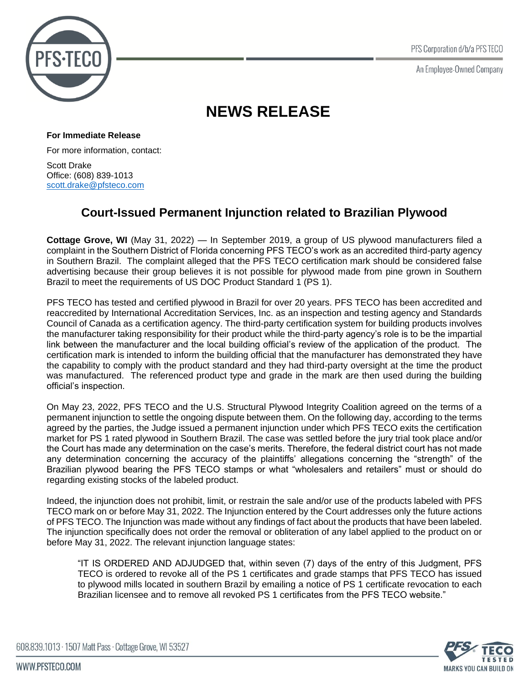PFS Corporation d/b/a PFS TECO

An Employee-Owned Company



## **NEWS RELEASE**

**For Immediate Release**

For more information, contact:

Scott Drake Office: (608) 839-1013 [scott.drake@pfsteco.com](mailto:steve.winistorfer@pfsteco.com)

## **Court-Issued Permanent Injunction related to Brazilian Plywood**

**Cottage Grove, WI** (May 31, 2022) — In September 2019, a group of US plywood manufacturers filed a complaint in the Southern District of Florida concerning PFS TECO's work as an accredited third-party agency in Southern Brazil. The complaint alleged that the PFS TECO certification mark should be considered false advertising because their group believes it is not possible for plywood made from pine grown in Southern Brazil to meet the requirements of US DOC Product Standard 1 (PS 1).

PFS TECO has tested and certified plywood in Brazil for over 20 years. PFS TECO has been accredited and reaccredited by International Accreditation Services, Inc. as an inspection and testing agency and Standards Council of Canada as a certification agency. The third-party certification system for building products involves the manufacturer taking responsibility for their product while the third-party agency's role is to be the impartial link between the manufacturer and the local building official's review of the application of the product. The certification mark is intended to inform the building official that the manufacturer has demonstrated they have the capability to comply with the product standard and they had third-party oversight at the time the product was manufactured. The referenced product type and grade in the mark are then used during the building official's inspection.

On May 23, 2022, PFS TECO and the U.S. Structural Plywood Integrity Coalition agreed on the terms of a permanent injunction to settle the ongoing dispute between them. On the following day, according to the terms agreed by the parties, the Judge issued a permanent injunction under which PFS TECO exits the certification market for PS 1 rated plywood in Southern Brazil. The case was settled before the jury trial took place and/or the Court has made any determination on the case's merits. Therefore, the federal district court has not made any determination concerning the accuracy of the plaintiffs' allegations concerning the "strength" of the Brazilian plywood bearing the PFS TECO stamps or what "wholesalers and retailers" must or should do regarding existing stocks of the labeled product.

Indeed, the injunction does not prohibit, limit, or restrain the sale and/or use of the products labeled with PFS TECO mark on or before May 31, 2022. The Injunction entered by the Court addresses only the future actions of PFS TECO. The Injunction was made without any findings of fact about the products that have been labeled. The injunction specifically does not order the removal or obliteration of any label applied to the product on or before May 31, 2022. The relevant injunction language states:

"IT IS ORDERED AND ADJUDGED that, within seven (7) days of the entry of this Judgment, PFS TECO is ordered to revoke all of the PS 1 certificates and grade stamps that PFS TECO has issued to plywood mills located in southern Brazil by emailing a notice of PS 1 certificate revocation to each Brazilian licensee and to remove all revoked PS 1 certificates from the PFS TECO website."